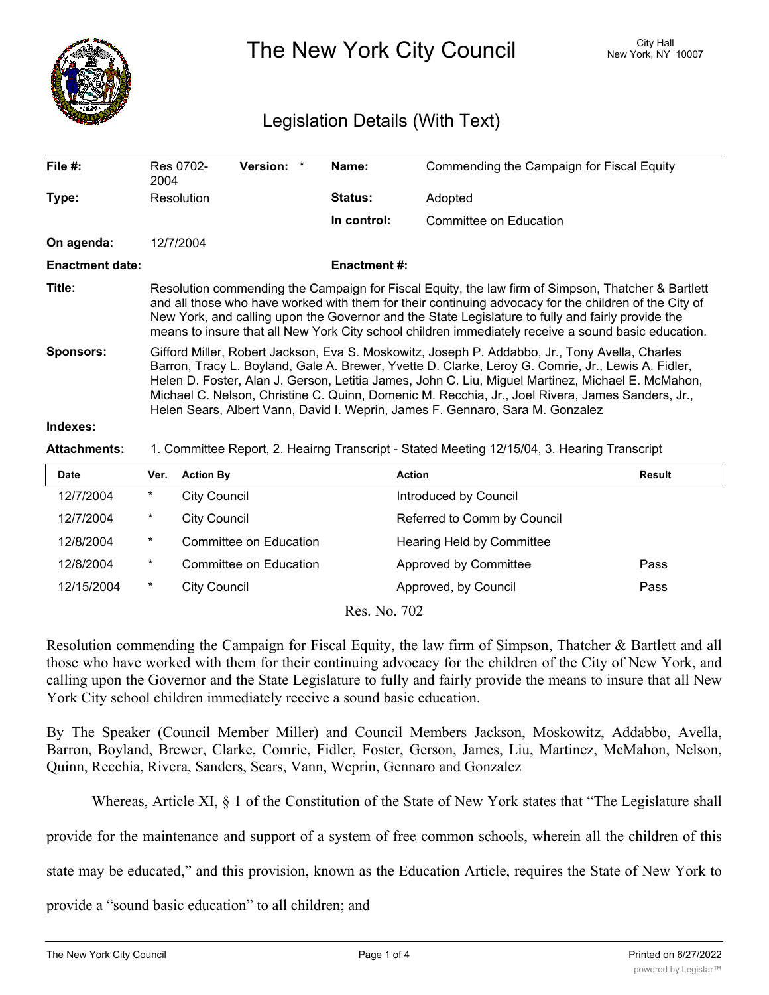

The New York City Council New York, NY 10007

## Legislation Details (With Text)

| File #:                | Res 0702-<br>2004                                                                           |                                                                                                                                                                                                                                                                                                                                                                                                                                                                                                | Version: *             |  | Name:               | Commending the Campaign for Fiscal Equity |               |  |
|------------------------|---------------------------------------------------------------------------------------------|------------------------------------------------------------------------------------------------------------------------------------------------------------------------------------------------------------------------------------------------------------------------------------------------------------------------------------------------------------------------------------------------------------------------------------------------------------------------------------------------|------------------------|--|---------------------|-------------------------------------------|---------------|--|
| Type:                  | Resolution                                                                                  |                                                                                                                                                                                                                                                                                                                                                                                                                                                                                                |                        |  | <b>Status:</b>      | Adopted                                   |               |  |
|                        |                                                                                             |                                                                                                                                                                                                                                                                                                                                                                                                                                                                                                |                        |  | In control:         | Committee on Education                    |               |  |
| On agenda:             | 12/7/2004                                                                                   |                                                                                                                                                                                                                                                                                                                                                                                                                                                                                                |                        |  |                     |                                           |               |  |
| <b>Enactment date:</b> |                                                                                             |                                                                                                                                                                                                                                                                                                                                                                                                                                                                                                |                        |  | <b>Enactment #:</b> |                                           |               |  |
| Title:                 |                                                                                             | Resolution commending the Campaign for Fiscal Equity, the law firm of Simpson, Thatcher & Bartlett<br>and all those who have worked with them for their continuing advocacy for the children of the City of<br>New York, and calling upon the Governor and the State Legislature to fully and fairly provide the<br>means to insure that all New York City school children immediately receive a sound basic education.                                                                        |                        |  |                     |                                           |               |  |
| <b>Sponsors:</b>       |                                                                                             | Gifford Miller, Robert Jackson, Eva S. Moskowitz, Joseph P. Addabbo, Jr., Tony Avella, Charles<br>Barron, Tracy L. Boyland, Gale A. Brewer, Yvette D. Clarke, Leroy G. Comrie, Jr., Lewis A. Fidler,<br>Helen D. Foster, Alan J. Gerson, Letitia James, John C. Liu, Miguel Martinez, Michael E. McMahon,<br>Michael C. Nelson, Christine C. Quinn, Domenic M. Recchia, Jr., Joel Rivera, James Sanders, Jr.,<br>Helen Sears, Albert Vann, David I. Weprin, James F. Gennaro, Sara M. Gonzalez |                        |  |                     |                                           |               |  |
| Indexes:               |                                                                                             |                                                                                                                                                                                                                                                                                                                                                                                                                                                                                                |                        |  |                     |                                           |               |  |
| <b>Attachments:</b>    | 1. Committee Report, 2. Heairng Transcript - Stated Meeting 12/15/04, 3. Hearing Transcript |                                                                                                                                                                                                                                                                                                                                                                                                                                                                                                |                        |  |                     |                                           |               |  |
| <b>Date</b>            | Ver.                                                                                        | <b>Action By</b>                                                                                                                                                                                                                                                                                                                                                                                                                                                                               |                        |  |                     | <b>Action</b>                             | <b>Result</b> |  |
| 12/7/2004              | $^\ast$                                                                                     | <b>City Council</b>                                                                                                                                                                                                                                                                                                                                                                                                                                                                            |                        |  |                     | Introduced by Council                     |               |  |
| 12/7/2004              | $^\ast$                                                                                     | <b>City Council</b>                                                                                                                                                                                                                                                                                                                                                                                                                                                                            |                        |  |                     | Referred to Comm by Council               |               |  |
| 12/8/2004              | $^\ast$                                                                                     |                                                                                                                                                                                                                                                                                                                                                                                                                                                                                                | Committee on Education |  |                     | Hearing Held by Committee                 |               |  |
| 12/8/2004              | $^\star$                                                                                    |                                                                                                                                                                                                                                                                                                                                                                                                                                                                                                | Committee on Education |  |                     | Approved by Committee                     | Pass          |  |

Res. No. 702

12/15/2004 \* City Council **Approved, by Council** Pass

Resolution commending the Campaign for Fiscal Equity, the law firm of Simpson, Thatcher & Bartlett and all those who have worked with them for their continuing advocacy for the children of the City of New York, and calling upon the Governor and the State Legislature to fully and fairly provide the means to insure that all New York City school children immediately receive a sound basic education.

By The Speaker (Council Member Miller) and Council Members Jackson, Moskowitz, Addabbo, Avella, Barron, Boyland, Brewer, Clarke, Comrie, Fidler, Foster, Gerson, James, Liu, Martinez, McMahon, Nelson, Quinn, Recchia, Rivera, Sanders, Sears, Vann, Weprin, Gennaro and Gonzalez

Whereas, Article XI, § 1 of the Constitution of the State of New York states that "The Legislature shall

provide for the maintenance and support of a system of free common schools, wherein all the children of this

state may be educated," and this provision, known as the Education Article, requires the State of New York to

provide a "sound basic education" to all children; and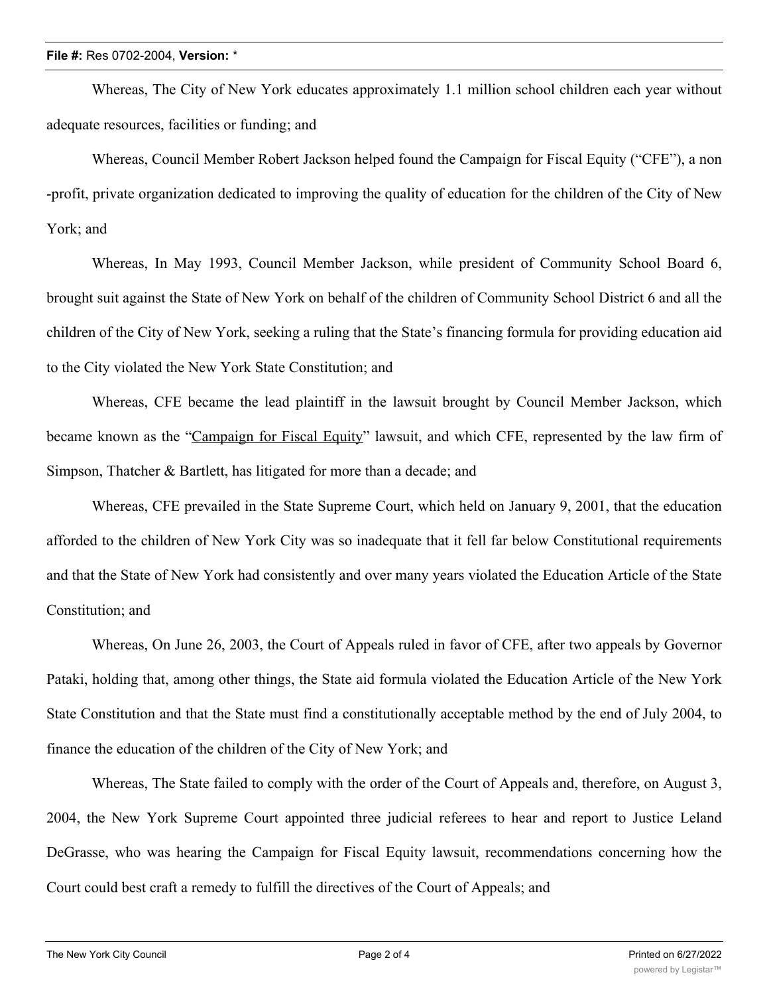Whereas, The City of New York educates approximately 1.1 million school children each year without adequate resources, facilities or funding; and

Whereas, Council Member Robert Jackson helped found the Campaign for Fiscal Equity ("CFE"), a non -profit, private organization dedicated to improving the quality of education for the children of the City of New York; and

Whereas, In May 1993, Council Member Jackson, while president of Community School Board 6, brought suit against the State of New York on behalf of the children of Community School District 6 and all the children of the City of New York, seeking a ruling that the State's financing formula for providing education aid to the City violated the New York State Constitution; and

Whereas, CFE became the lead plaintiff in the lawsuit brought by Council Member Jackson, which became known as the "Campaign for Fiscal Equity" lawsuit, and which CFE, represented by the law firm of Simpson, Thatcher & Bartlett, has litigated for more than a decade; and

Whereas, CFE prevailed in the State Supreme Court, which held on January 9, 2001, that the education afforded to the children of New York City was so inadequate that it fell far below Constitutional requirements and that the State of New York had consistently and over many years violated the Education Article of the State Constitution; and

Whereas, On June 26, 2003, the Court of Appeals ruled in favor of CFE, after two appeals by Governor Pataki, holding that, among other things, the State aid formula violated the Education Article of the New York State Constitution and that the State must find a constitutionally acceptable method by the end of July 2004, to finance the education of the children of the City of New York; and

Whereas, The State failed to comply with the order of the Court of Appeals and, therefore, on August 3, 2004, the New York Supreme Court appointed three judicial referees to hear and report to Justice Leland DeGrasse, who was hearing the Campaign for Fiscal Equity lawsuit, recommendations concerning how the Court could best craft a remedy to fulfill the directives of the Court of Appeals; and